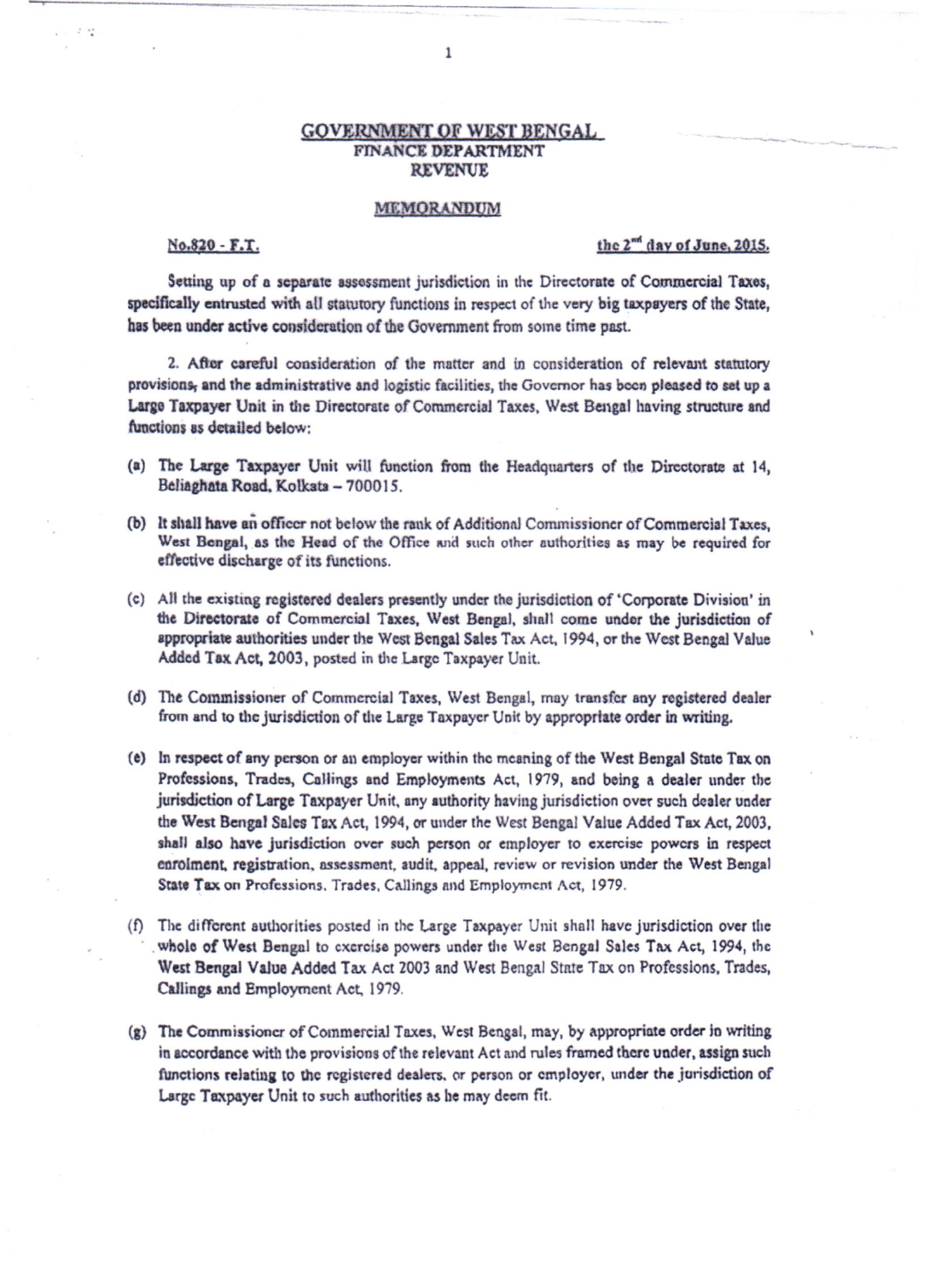## **GOVERNMENT OF WEST BENGAL** FINANCE DEPARTMENT **REVENUE**

## MEMORANDUM

## No.820 - F.T.

## the 2<sup>md</sup> day of June, 2015.

Setting up of a separate assessment jurisdiction in the Directorate of Commercial Taxes, specifically entrusted with all statutory functions in respect of the very big taxpayers of the State, has been under active consideration of the Government from some time past.

2. After careful consideration of the matter and in consideration of relevant statutory provisions, and the administrative and logistic facilities, the Governor has been pleased to set up a Large Taxpayer Unit in the Directorate of Commercial Taxes, West Bengal having structure and functions as detailed below:

- (a) The Large Taxpayer Unit will function from the Headquarters of the Directorate at 14, Beliaghata Road, Kolkata - 700015.
- (b) It shall have an officer not below the rank of Additional Commissioner of Commercial Taxes, West Bengal, as the Head of the Office and such other authorities as may be required for effective discharge of its functions.
- (c) All the existing registered dealers presently under the jurisdiction of 'Corporate Division' in the Directorate of Commercial Taxes, West Bengal, shall come under the jurisdiction of appropriate authorities under the West Bengal Sales Tax Act, 1994, or the West Bengal Value Added Tax Act, 2003, posted in the Large Taxpayer Unit.
- (d) The Commissioner of Commercial Taxes, West Bengal, may transfer any registered dealer from and to the jurisdiction of the Large Taxpayer Unit by appropriate order in writing.
- (e) In respect of any person or an employer within the meaning of the West Bengal State Tax on Professions, Trades, Callings and Employments Act, 1979, and being a dealer under the jurisdiction of Large Taxpayer Unit, any authority having jurisdiction over such dealer under the West Bengal Sales Tax Act, 1994, or under the West Bengal Value Added Tax Act, 2003. shall also have jurisdiction over such person or employer to exercise powers in respect enrolment, registration, assessment, audit, appeal, review or revision under the West Bengal State Tax on Professions. Trades, Callings and Employment Act, 1979.
- (f) The different authorities posted in the Large Taxpayer Unit shall have jurisdiction over the whole of West Bengal to exercise powers under the West Bengal Sales Tax Act, 1994, the West Bengal Value Added Tax Act 2003 and West Bengal State Tax on Professions, Trades, Callings and Employment Act, 1979.
- (g) The Commissioner of Commercial Taxes, West Bengal, may, by appropriate order in writing in accordance with the provisions of the relevant Act and rules framed there under, assign such functions relating to the registered dealers, or person or employer, under the jurisdiction of Large Taxpayer Unit to such authorities as he may deem fit.

 $\mathbf{1}$